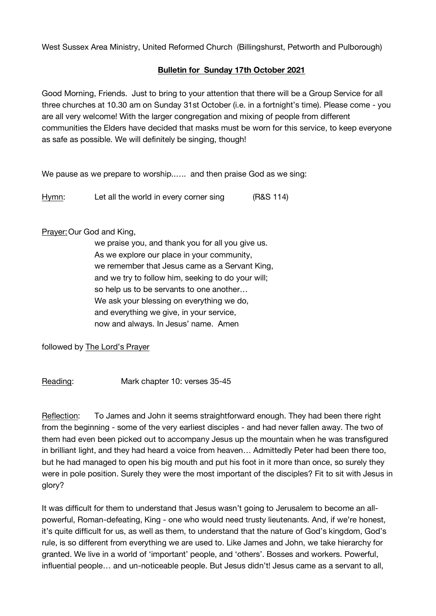West Sussex Area Ministry, United Reformed Church (Billingshurst, Petworth and Pulborough)

## **Bulletin for Sunday 17th October 2021**

Good Morning, Friends. Just to bring to your attention that there will be a Group Service for all three churches at 10.30 am on Sunday 31st October (i.e. in a fortnight's time). Please come - you are all very welcome! With the larger congregation and mixing of people from different communities the Elders have decided that masks must be worn for this service, to keep everyone as safe as possible. We will definitely be singing, though!

We pause as we prepare to worship..…. and then praise God as we sing:

Hymn: Let all the world in every corner sing (R&S 114)

## Prayer: Our God and King,

we praise you, and thank you for all you give us. As we explore our place in your community, we remember that Jesus came as a Servant King, and we try to follow him, seeking to do your will; so help us to be servants to one another… We ask your blessing on everything we do. and everything we give, in your service, now and always. In Jesus' name. Amen

followed by The Lord's Prayer

Reading: Mark chapter 10: verses 35-45

Reflection: To James and John it seems straightforward enough. They had been there right from the beginning - some of the very earliest disciples - and had never fallen away. The two of them had even been picked out to accompany Jesus up the mountain when he was transfigured in brilliant light, and they had heard a voice from heaven… Admittedly Peter had been there too, but he had managed to open his big mouth and put his foot in it more than once, so surely they were in pole position. Surely they were the most important of the disciples? Fit to sit with Jesus in glory?

It was difficult for them to understand that Jesus wasn't going to Jerusalem to become an allpowerful, Roman-defeating, King - one who would need trusty lieutenants. And, if we're honest, it's quite difficult for us, as well as them, to understand that the nature of God's kingdom, God's rule, is so different from everything we are used to. Like James and John, we take hierarchy for granted. We live in a world of 'important' people, and 'others'. Bosses and workers. Powerful, influential people... and un-noticeable people. But Jesus didn't! Jesus came as a servant to all,